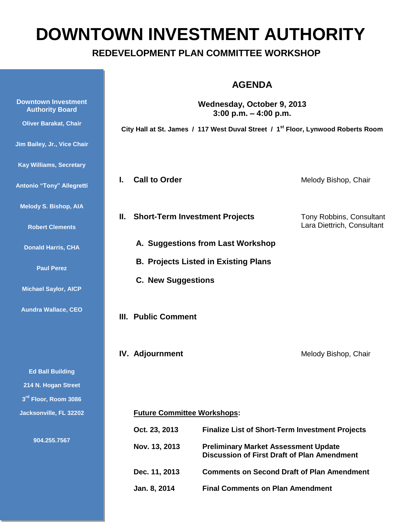# **DOWNTOWN INVESTMENT AUTHORITY**

## **REDEVELOPMENT PLAN COMMITTEE WORKSHOP**

|                                                      | <b>AGENDA</b><br>Wednesday, October 9, 2013<br>3:00 p.m. $-$ 4:00 p.m.                       |                                                                                                   |                                                        |
|------------------------------------------------------|----------------------------------------------------------------------------------------------|---------------------------------------------------------------------------------------------------|--------------------------------------------------------|
| <b>Downtown Investment</b><br><b>Authority Board</b> |                                                                                              |                                                                                                   |                                                        |
| <b>Oliver Barakat, Chair</b>                         | City Hall at St. James / 117 West Duval Street / 1 <sup>st</sup> Floor, Lynwood Roberts Room |                                                                                                   |                                                        |
| Jim Bailey, Jr., Vice Chair                          |                                                                                              |                                                                                                   |                                                        |
| <b>Kay Williams, Secretary</b>                       |                                                                                              |                                                                                                   |                                                        |
| <b>Antonio "Tony" Allegretti</b>                     | <b>Call to Order</b><br>L.                                                                   |                                                                                                   | Melody Bishop, Chair                                   |
| <b>Melody S. Bishop, AIA</b>                         |                                                                                              |                                                                                                   |                                                        |
| <b>Robert Clements</b>                               | II. Short-Term Investment Projects                                                           |                                                                                                   | Tony Robbins, Consultant<br>Lara Diettrich, Consultant |
| <b>Donald Harris, CHA</b>                            | A. Suggestions from Last Workshop                                                            |                                                                                                   |                                                        |
| <b>Paul Perez</b>                                    | <b>B. Projects Listed in Existing Plans</b>                                                  |                                                                                                   |                                                        |
| <b>Michael Saylor, AICP</b>                          | <b>C. New Suggestions</b>                                                                    |                                                                                                   |                                                        |
| <b>Aundra Wallace, CEO</b>                           | <b>III. Public Comment</b>                                                                   |                                                                                                   |                                                        |
|                                                      | <b>IV.</b> Adjournment                                                                       |                                                                                                   | Melody Bishop, Chair                                   |
| <b>Ed Ball Building</b>                              |                                                                                              |                                                                                                   |                                                        |
| 214 N. Hogan Street                                  |                                                                                              |                                                                                                   |                                                        |
| 3rd Floor, Room 3086                                 |                                                                                              |                                                                                                   |                                                        |
| Jacksonville, FL 32202                               | <b>Future Committee Workshops:</b>                                                           |                                                                                                   |                                                        |
| 904.255.7567                                         | Oct. 23, 2013<br><b>Finalize List of Short-Term Investment Projects</b>                      |                                                                                                   |                                                        |
|                                                      | Nov. 13, 2013                                                                                | <b>Preliminary Market Assessment Update</b><br><b>Discussion of First Draft of Plan Amendment</b> |                                                        |
|                                                      | Dec. 11, 2013                                                                                | <b>Comments on Second Draft of Plan Amendment</b>                                                 |                                                        |
|                                                      | Jan. 8, 2014                                                                                 | <b>Final Comments on Plan Amendment</b>                                                           |                                                        |
|                                                      |                                                                                              |                                                                                                   |                                                        |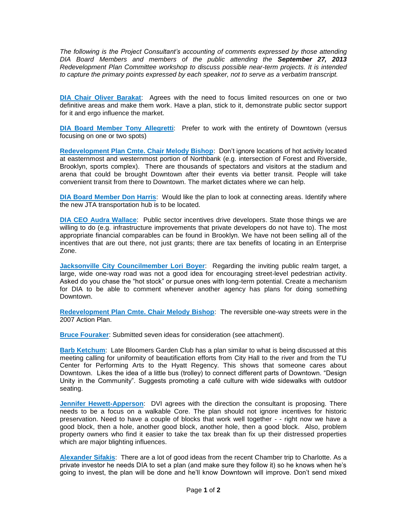*The following is the Project Consultant's accounting of comments expressed by those attending DIA Board Members and members of the public attending the September 27, 2013 Redevelopment Plan Committee workshop to discuss possible near-term projects. It is intended to capture the primary points expressed by each speaker, not to serve as a verbatim transcript.*

**DIA Chair Oliver Barakat**: Agrees with the need to focus limited resources on one or two definitive areas and make them work. Have a plan, stick to it, demonstrate public sector support for it and ergo influence the market.

**DIA Board Member Tony Allegretti**: Prefer to work with the entirety of Downtown (versus focusing on one or two spots)

**Redevelopment Plan Cmte. Chair Melody Bishop**: Don't ignore locations of hot activity located at easternmost and westernmost portion of Northbank (e.g. intersection of Forest and Riverside, Brooklyn, sports complex). There are thousands of spectators and visitors at the stadium and arena that could be brought Downtown after their events via better transit. People will take convenient transit from there to Downtown. The market dictates where we can help.

**DIA Board Member Don Harris**: Would like the plan to look at connecting areas. Identify where the new JTA transportation hub is to be located.

**DIA CEO Audra Wallace**: Public sector incentives drive developers. State those things we are willing to do (e.g. infrastructure improvements that private developers do not have to). The most appropriate financial comparables can be found in Brooklyn. We have not been selling all of the incentives that are out there, not just grants; there are tax benefits of locating in an Enterprise Zone.

**Jacksonville City Councilmember Lori Boyer**: Regarding the inviting public realm target, a large, wide one-way road was not a good idea for encouraging street-level pedestrian activity. Asked do you chase the "hot stock" or pursue ones with long-term potential. Create a mechanism for DIA to be able to comment whenever another agency has plans for doing something Downtown.

**Redevelopment Plan Cmte. Chair Melody Bishop**: The reversible one-way streets were in the 2007 Action Plan.

**Bruce Fouraker**: Submitted seven ideas for consideration (see attachment).

**Barb Ketchum**: Late Bloomers Garden Club has a plan similar to what is being discussed at this meeting calling for uniformity of beautification efforts from City Hall to the river and from the TU Center for Performing Arts to the Hyatt Regency. This shows that someone cares about Downtown. Likes the idea of a little bus (trolley) to connect different parts of Downtown. "Design Unity in the Community". Suggests promoting a café culture with wide sidewalks with outdoor seating.

**Jennifer Hewett-Apperson**: DVI agrees with the direction the consultant is proposing. There needs to be a focus on a walkable Core. The plan should not ignore incentives for historic preservation. Need to have a couple of blocks that work well together - - right now we have a good block, then a hole, another good block, another hole, then a good block. Also, problem property owners who find it easier to take the tax break than fix up their distressed properties which are major blighting influences.

**Alexander Sifakis**: There are a lot of good ideas from the recent Chamber trip to Charlotte. As a private investor he needs DIA to set a plan (and make sure they follow it) so he knows when he's going to invest, the plan will be done and he'll know Downtown will improve. Don't send mixed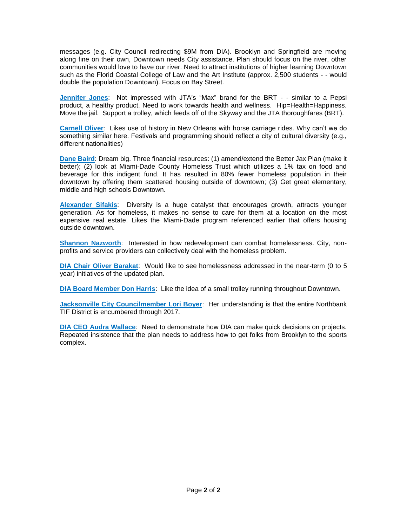messages (e.g. City Council redirecting \$9M from DIA). Brooklyn and Springfield are moving along fine on their own, Downtown needs City assistance. Plan should focus on the river, other communities would love to have our river. Need to attract institutions of higher learning Downtown such as the Florid Coastal College of Law and the Art Institute (approx. 2,500 students - - would double the population Downtown). Focus on Bay Street.

**Jennifer Jones**: Not impressed with JTA's "Max" brand for the BRT - - similar to a Pepsi product, a healthy product. Need to work towards health and wellness. Hip=Health=Happiness. Move the jail. Support a trolley, which feeds off of the Skyway and the JTA thoroughfares (BRT).

**Carnell Oliver**: Likes use of history in New Orleans with horse carriage rides. Why can't we do something similar here. Festivals and programming should reflect a city of cultural diversity (e.g., different nationalities)

**Dane Baird**: Dream big. Three financial resources: (1) amend/extend the Better Jax Plan (make it better); (2) look at Miami-Dade County Homeless Trust which utilizes a 1% tax on food and beverage for this indigent fund. It has resulted in 80% fewer homeless population in their downtown by offering them scattered housing outside of downtown; (3) Get great elementary, middle and high schools Downtown.

**Alexander Sifakis**: Diversity is a huge catalyst that encourages growth, attracts younger generation. As for homeless, it makes no sense to care for them at a location on the most expensive real estate. Likes the Miami-Dade program referenced earlier that offers housing outside downtown.

**Shannon Nazworth**: Interested in how redevelopment can combat homelessness. City, nonprofits and service providers can collectively deal with the homeless problem.

**DIA Chair Oliver Barakat**: Would like to see homelessness addressed in the near-term (0 to 5 year) initiatives of the updated plan.

**DIA Board Member Don Harris**: Like the idea of a small trolley running throughout Downtown.

**Jacksonville City Councilmember Lori Boyer**: Her understanding is that the entire Northbank TIF District is encumbered through 2017.

**DIA CEO Audra Wallace**: Need to demonstrate how DIA can make quick decisions on projects. Repeated insistence that the plan needs to address how to get folks from Brooklyn to the sports complex.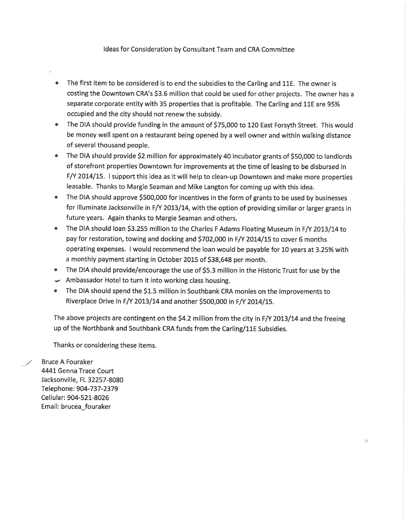#### Ideas for Consideration by Consultant Team and CRA Committee

- The first item to be considered is to end the subsidies to the Carling and 11E. The owner is  $\bullet$ costing the Downtown CRA's \$3.6 million that could be used for other projects. The owner has a separate corporate entity with 35 properties that is profitable. The Carling and 11E are 95% occupied and the city should not renew the subsidy.
- The DIA should provide funding in the amount of \$75,000 to 120 East Forsyth Street. This would be money well spent on a restaurant being opened by a well owner and within walking distance of several thousand people.
- The DIA should provide \$2 million for approximately 40 incubator grants of \$50,000 to landlords  $\bullet$ of storefront properties Downtown for improvements at the time of leasing to be disbursed in F/Y 2014/15. I support this idea as it will help to clean-up Downtown and make more properties leasable. Thanks to Margie Seaman and Mike Langton for coming up with this idea.
- The DIA should approve \$500,000 for incentives in the form of grants to be used by businesses for Illuminate Jacksonville in F/Y 2013/14, with the option of providing similar or larger grants in future years. Again thanks to Margie Seaman and others.
- The DIA should loan \$3.255 million to the Charles F Adams Floating Museum in F/Y 2013/14 to pay for restoration, towing and docking and \$702,000 in F/Y 2014/15 to cover 6 months operating expenses. I would recommend the loan would be payable for 10 years at 3.25% with a monthly payment starting in October 2015 of \$38,648 per month.
- The DIA should provide/encourage the use of \$5.3 million in the Historic Trust for use by the
- Ambassador Hotel to turn it into working class housing.
- The DIA should spend the \$1.5 million in Southbank CRA monies on the improvements to Riverplace Drive in F/Y 2013/14 and another \$500,000 in F/Y 2014/15.

The above projects are contingent on the \$4.2 million from the city in F/Y 2013/14 and the freeing up of the Northbank and Southbank CRA funds from the Carling/11E Subsidies.

 $\frac{\partial}{\partial x^i}$ 

Thanks or considering these items.

**Bruce A Fouraker** 4441 Genna Trace Court Jacksonville, FL 32257-8080 Telephone: 904-737-2379 Cellular: 904-521-8026 Email: brucea\_fouraker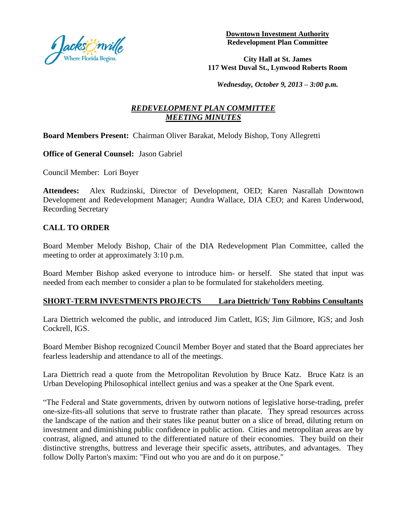

**Downtown Investment Authority Redevelopment Plan Committee**

**City Hall at St. James 117 West Duval St., Lynwood Roberts Room**

*Wednesday, October 9, 2013 – 3:00 p.m.*

### *REDEVELOPMENT PLAN COMMITTEE MEETING MINUTES*

#### **Board Members Present:** Chairman Oliver Barakat, Melody Bishop, Tony Allegretti

**Office of General Counsel:** Jason Gabriel

Council Member: Lori Boyer

**Attendees:** Alex Rudzinski, Director of Development, OED; Karen Nasrallah Downtown Development and Redevelopment Manager; Aundra Wallace, DIA CEO; and Karen Underwood, Recording Secretary

#### **CALL TO ORDER**

Board Member Melody Bishop, Chair of the DIA Redevelopment Plan Committee, called the meeting to order at approximately 3:10 p.m.

Board Member Bishop asked everyone to introduce him- or herself. She stated that input was needed from each member to consider a plan to be formulated for stakeholders meeting.

#### **SHORT-TERM INVESTMENTS PROJECTS Lara Diettrich/ Tony Robbins Consultants**

Lara Diettrich welcomed the public, and introduced Jim Catlett, IGS; Jim Gilmore, IGS; and Josh Cockrell, IGS.

Board Member Bishop recognized Council Member Boyer and stated that the Board appreciates her fearless leadership and attendance to all of the meetings.

Lara Diettrich read a quote from the Metropolitan Revolution by Bruce Katz. Bruce Katz is an Urban Developing Philosophical intellect genius and was a speaker at the One Spark event.

"The Federal and State governments, driven by outworn notions of legislative horse-trading, prefer one-size-fits-all solutions that serve to frustrate rather than placate. They spread resources across the landscape of the nation and their states like peanut butter on a slice of bread, diluting return on investment and diminishing public confidence in public action. Cities and metropolitan areas are by contrast, aligned, and attuned to the differentiated nature of their economies. They build on their distinctive strengths, buttress and leverage their specific assets, attributes, and advantages. They follow Dolly Parton's maxim: "Find out who you are and do it on purpose."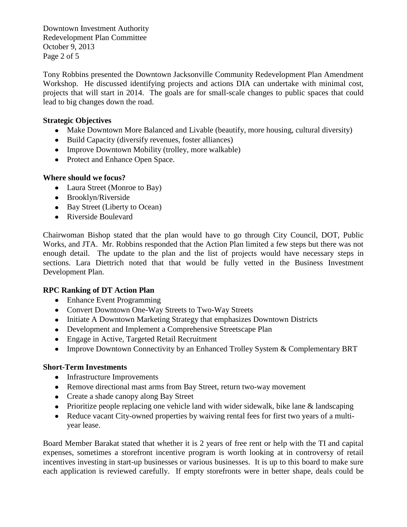Downtown Investment Authority Redevelopment Plan Committee October 9, 2013 Page 2 of 5

Tony Robbins presented the Downtown Jacksonville Community Redevelopment Plan Amendment Workshop. He discussed identifying projects and actions DIA can undertake with minimal cost, projects that will start in 2014. The goals are for small-scale changes to public spaces that could lead to big changes down the road.

#### **Strategic Objectives**

- Make Downtown More Balanced and Livable (beautify, more housing, cultural diversity)
- Build Capacity (diversify revenues, foster alliances)
- Improve Downtown Mobility (trolley, more walkable)
- Protect and Enhance Open Space.

#### **Where should we focus?**

- Laura Street (Monroe to Bay)
- Brooklyn/Riverside
- Bay Street (Liberty to Ocean)
- Riverside Boulevard

Chairwoman Bishop stated that the plan would have to go through City Council, DOT, Public Works, and JTA. Mr. Robbins responded that the Action Plan limited a few steps but there was not enough detail. The update to the plan and the list of projects would have necessary steps in sections. Lara Diettrich noted that that would be fully vetted in the Business Investment Development Plan.

#### **RPC Ranking of DT Action Plan**

- Enhance Event Programming
- Convert Downtown One-Way Streets to Two-Way Streets
- Initiate A Downtown Marketing Strategy that emphasizes Downtown Districts
- Development and Implement a Comprehensive Streetscape Plan
- Engage in Active, Targeted Retail Recruitment
- Improve Downtown Connectivity by an Enhanced Trolley System & Complementary BRT

#### **Short-Term Investments**

- Infrastructure Improvements
- Remove directional mast arms from Bay Street, return two-way movement
- Create a shade canopy along Bay Street
- Prioritize people replacing one vehicle land with wider sidewalk, bike lane & landscaping
- Reduce vacant City-owned properties by waiving rental fees for first two years of a multiyear lease.

Board Member Barakat stated that whether it is 2 years of free rent or help with the TI and capital expenses, sometimes a storefront incentive program is worth looking at in controversy of retail incentives investing in start-up businesses or various businesses. It is up to this board to make sure each application is reviewed carefully. If empty storefronts were in better shape, deals could be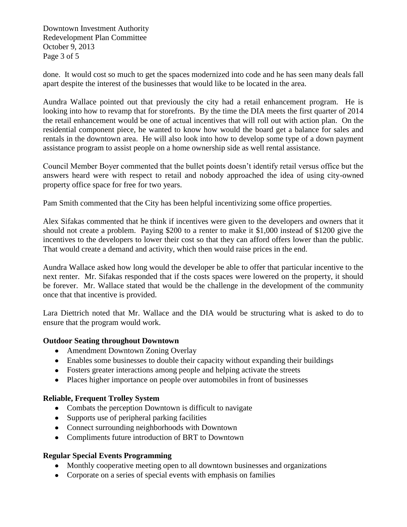Downtown Investment Authority Redevelopment Plan Committee October 9, 2013 Page 3 of 5

done. It would cost so much to get the spaces modernized into code and he has seen many deals fall apart despite the interest of the businesses that would like to be located in the area.

Aundra Wallace pointed out that previously the city had a retail enhancement program. He is looking into how to revamp that for storefronts. By the time the DIA meets the first quarter of 2014 the retail enhancement would be one of actual incentives that will roll out with action plan. On the residential component piece, he wanted to know how would the board get a balance for sales and rentals in the downtown area. He will also look into how to develop some type of a down payment assistance program to assist people on a home ownership side as well rental assistance.

Council Member Boyer commented that the bullet points doesn't identify retail versus office but the answers heard were with respect to retail and nobody approached the idea of using city-owned property office space for free for two years.

Pam Smith commented that the City has been helpful incentivizing some office properties.

Alex Sifakas commented that he think if incentives were given to the developers and owners that it should not create a problem. Paying \$200 to a renter to make it \$1,000 instead of \$1200 give the incentives to the developers to lower their cost so that they can afford offers lower than the public. That would create a demand and activity, which then would raise prices in the end.

Aundra Wallace asked how long would the developer be able to offer that particular incentive to the next renter. Mr. Sifakas responded that if the costs spaces were lowered on the property, it should be forever. Mr. Wallace stated that would be the challenge in the development of the community once that that incentive is provided.

Lara Diettrich noted that Mr. Wallace and the DIA would be structuring what is asked to do to ensure that the program would work.

#### **Outdoor Seating throughout Downtown**

- Amendment Downtown Zoning Overlay
- Enables some businesses to double their capacity without expanding their buildings
- Fosters greater interactions among people and helping activate the streets
- Places higher importance on people over automobiles in front of businesses

#### **Reliable, Frequent Trolley System**

- Combats the perception Downtown is difficult to navigate
- Supports use of peripheral parking facilities
- Connect surrounding neighborhoods with Downtown
- Compliments future introduction of BRT to Downtown

#### **Regular Special Events Programming**

- Monthly cooperative meeting open to all downtown businesses and organizations
- Corporate on a series of special events with emphasis on families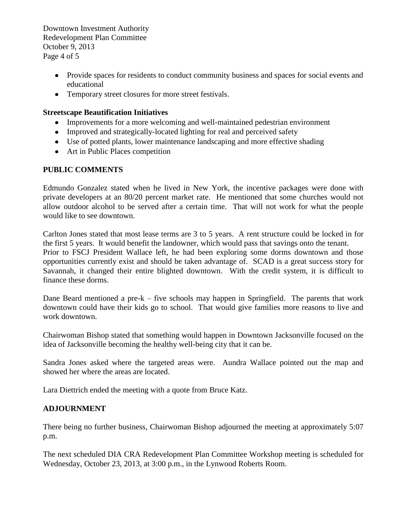Downtown Investment Authority Redevelopment Plan Committee October 9, 2013 Page 4 of 5

- Provide spaces for residents to conduct community business and spaces for social events and educational
- Temporary street closures for more street festivals.

#### **Streetscape Beautification Initiatives**

- Improvements for a more welcoming and well-maintained pedestrian environment
- Improved and strategically-located lighting for real and perceived safety
- Use of potted plants, lower maintenance landscaping and more effective shading
- Art in Public Places competition

#### **PUBLIC COMMENTS**

Edmundo Gonzalez stated when he lived in New York, the incentive packages were done with private developers at an 80/20 percent market rate. He mentioned that some churches would not allow outdoor alcohol to be served after a certain time. That will not work for what the people would like to see downtown.

Carlton Jones stated that most lease terms are 3 to 5 years. A rent structure could be locked in for the first 5 years. It would benefit the landowner, which would pass that savings onto the tenant. Prior to FSCJ President Wallace left, he had been exploring some dorms downtown and those opportunities currently exist and should be taken advantage of. SCAD is a great success story for Savannah, it changed their entire blighted downtown. With the credit system, it is difficult to finance these dorms.

Dane Beard mentioned a pre-k – five schools may happen in Springfield. The parents that work downtown could have their kids go to school. That would give families more reasons to live and work downtown.

Chairwoman Bishop stated that something would happen in Downtown Jacksonville focused on the idea of Jacksonville becoming the healthy well-being city that it can be.

Sandra Jones asked where the targeted areas were. Aundra Wallace pointed out the map and showed her where the areas are located.

Lara Diettrich ended the meeting with a quote from Bruce Katz.

#### **ADJOURNMENT**

There being no further business, Chairwoman Bishop adjourned the meeting at approximately 5:07 p.m.

The next scheduled DIA CRA Redevelopment Plan Committee Workshop meeting is scheduled for Wednesday, October 23, 2013, at 3:00 p.m., in the Lynwood Roberts Room.